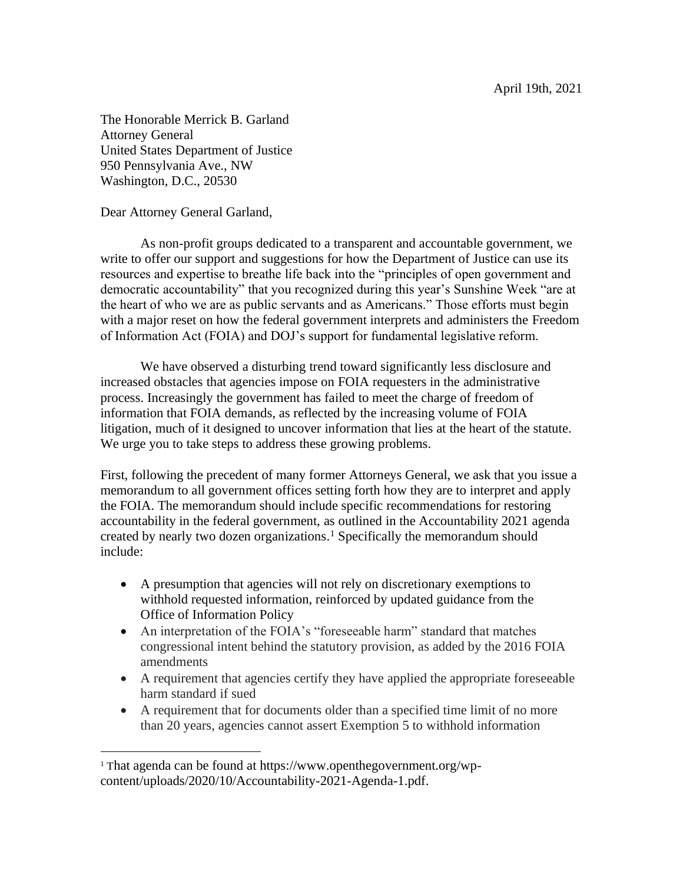April 19th, 2021

The Honorable Merrick B. Garland Attorney General United States Department of Justice 950 Pennsylvania Ave., NW Washington, D.C., 20530

Dear Attorney General Garland,

As non-profit groups dedicated to a transparent and accountable government, we write to offer our support and suggestions for how the Department of Justice can use its resources and expertise to breathe life back into the "principles of open government and democratic accountability" that you recognized during this year's Sunshine Week "are at the heart of who we are as public servants and as Americans." Those efforts must begin with a major reset on how the federal government interprets and administers the Freedom of Information Act (FOIA) and DOJ's support for fundamental legislative reform.

We have observed a disturbing trend toward significantly less disclosure and increased obstacles that agencies impose on FOIA requesters in the administrative process. Increasingly the government has failed to meet the charge of freedom of information that FOIA demands, as reflected by the increasing volume of FOIA litigation, much of it designed to uncover information that lies at the heart of the statute. We urge you to take steps to address these growing problems.

First, following the precedent of many former Attorneys General, we ask that you issue a memorandum to all government offices setting forth how they are to interpret and apply the FOIA. The memorandum should include specific recommendations for restoring accountability in the federal government, as outlined in the Accountability 2021 agenda created by nearly two dozen organizations. <sup>1</sup> Specifically the memorandum should include:

- A presumption that agencies will not rely on discretionary exemptions to withhold requested information, reinforced by updated guidance from the Office of Information Policy
- An interpretation of the FOIA's "foreseeable harm" standard that matches congressional intent behind the statutory provision, as added by the 2016 FOIA amendments
- A requirement that agencies certify they have applied the appropriate foreseeable harm standard if sued
- A requirement that for documents older than a specified time limit of no more than 20 years, agencies cannot assert Exemption 5 to withhold information

<sup>&</sup>lt;sup>1</sup> That agenda can be found at https://www.openthegovernment.org/wpcontent/uploads/2020/10/Accountability-2021-Agenda-1.pdf.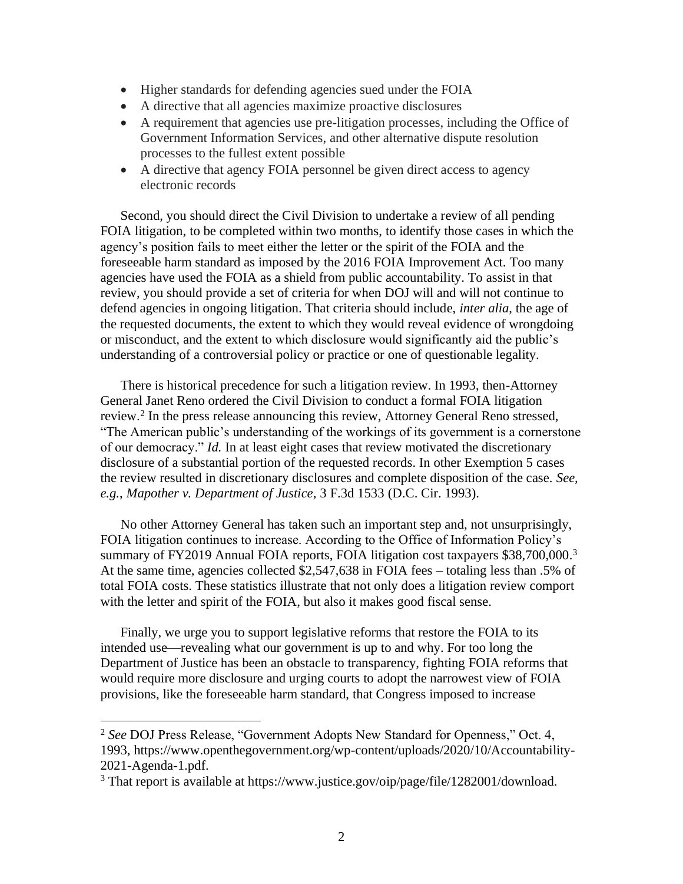- Higher standards for defending agencies sued under the FOIA
- A directive that all agencies maximize proactive disclosures
- A requirement that agencies use pre-litigation processes, including the Office of Government Information Services, and other alternative dispute resolution processes to the fullest extent possible
- A directive that agency FOIA personnel be given direct access to agency electronic records

Second, you should direct the Civil Division to undertake a review of all pending FOIA litigation, to be completed within two months, to identify those cases in which the agency's position fails to meet either the letter or the spirit of the FOIA and the foreseeable harm standard as imposed by the 2016 FOIA Improvement Act. Too many agencies have used the FOIA as a shield from public accountability. To assist in that review, you should provide a set of criteria for when DOJ will and will not continue to defend agencies in ongoing litigation. That criteria should include, *inter alia*, the age of the requested documents, the extent to which they would reveal evidence of wrongdoing or misconduct, and the extent to which disclosure would significantly aid the public's understanding of a controversial policy or practice or one of questionable legality.

There is historical precedence for such a litigation review. In 1993, then-Attorney General Janet Reno ordered the Civil Division to conduct a formal FOIA litigation review.<sup>2</sup> In the press release announcing this review, Attorney General Reno stressed, "The American public's understanding of the workings of its government is a cornerstone of our democracy." *Id.* In at least eight cases that review motivated the discretionary disclosure of a substantial portion of the requested records. In other Exemption 5 cases the review resulted in discretionary disclosures and complete disposition of the case. *See, e.g.*, *Mapother v. Department of Justice*, 3 F.3d 1533 (D.C. Cir. 1993).

No other Attorney General has taken such an important step and, not unsurprisingly, FOIA litigation continues to increase. According to the Office of Information Policy's summary of FY2019 Annual FOIA reports, FOIA litigation cost taxpayers \$38,700,000.<sup>3</sup> At the same time, agencies collected \$2,547,638 in FOIA fees – totaling less than .5% of total FOIA costs. These statistics illustrate that not only does a litigation review comport with the letter and spirit of the FOIA, but also it makes good fiscal sense.

Finally, we urge you to support legislative reforms that restore the FOIA to its intended use—revealing what our government is up to and why. For too long the Department of Justice has been an obstacle to transparency, fighting FOIA reforms that would require more disclosure and urging courts to adopt the narrowest view of FOIA provisions, like the foreseeable harm standard, that Congress imposed to increase

<sup>2</sup> *See* DOJ Press Release, "Government Adopts New Standard for Openness," Oct. 4, 1993, https://www.openthegovernment.org/wp-content/uploads/2020/10/Accountability-2021-Agenda-1.pdf.

<sup>&</sup>lt;sup>3</sup> That report is available at https://www.justice.gov/oip/page/file/1282001/download.